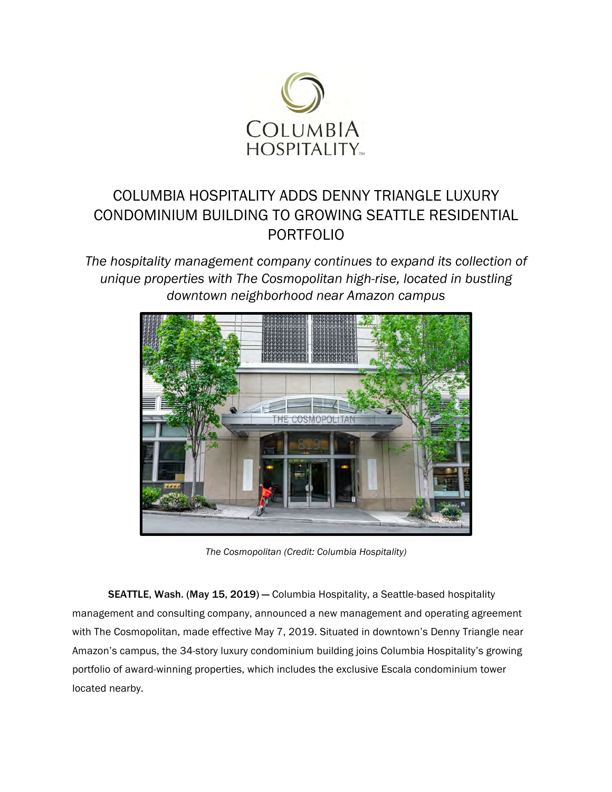

## COLUMBIA HOSPITALITY ADDS DENNY TRIANGLE LUXURY CONDOMINIUM BUILDING TO GROWING SEATTLE RESIDENTIAL PORTFOLIO

*The hospitality management company continues to expand its collection of unique properties with The Cosmopolitan high-rise, located in bustling downtown neighborhood near Amazon campus*



*The Cosmopolitan (Credit: Columbia Hospitality)* 

SEATTLE, Wash. (May 15, 2019) — Columbia Hospitality, a Seattle-based hospitality management and consulting company, announced a new management and operating agreement with The Cosmopolitan, made effective May 7, 2019. Situated in downtown's Denny Triangle near Amazon's campus, the 34-story luxury condominium building joins Columbia Hospitality's growing portfolio of award-winning properties, which includes the exclusive Escala condominium tower located nearby.